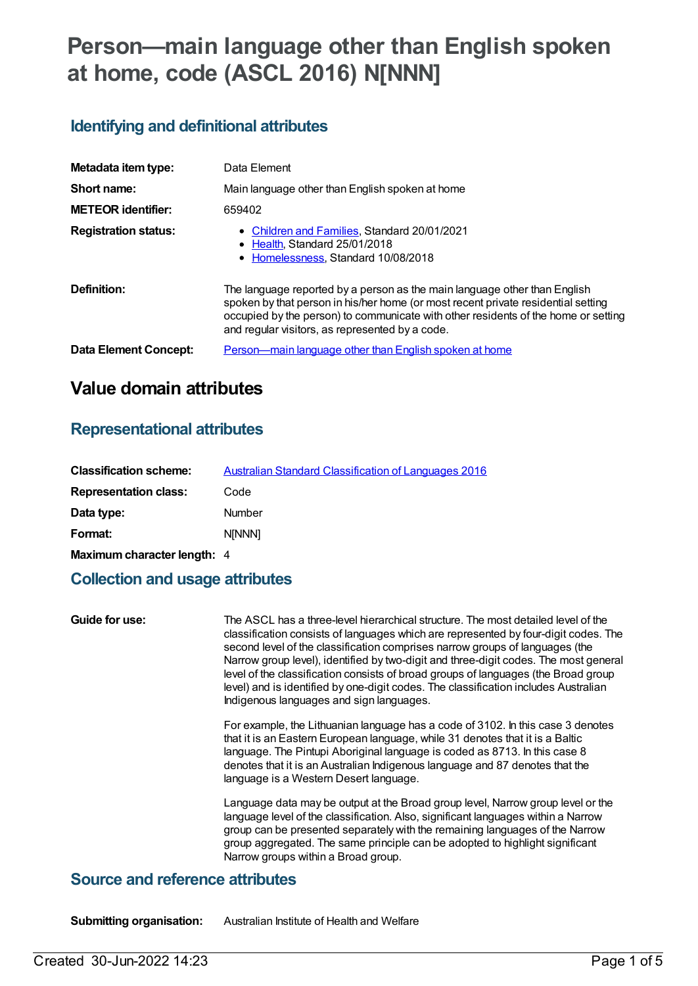# **Person—main language other than English spoken at home, code (ASCL 2016) N[NNN]**

# **Identifying and definitional attributes**

| Metadata item type:         | Data Element                                                                                                                                                                                                                                                                                            |
|-----------------------------|---------------------------------------------------------------------------------------------------------------------------------------------------------------------------------------------------------------------------------------------------------------------------------------------------------|
| Short name:                 | Main language other than English spoken at home                                                                                                                                                                                                                                                         |
| <b>METEOR identifier:</b>   | 659402                                                                                                                                                                                                                                                                                                  |
| <b>Registration status:</b> | • Children and Families, Standard 20/01/2021<br>• Health Standard 25/01/2018<br>• Homelessness, Standard 10/08/2018                                                                                                                                                                                     |
| Definition:                 | The language reported by a person as the main language other than English<br>spoken by that person in his/her home (or most recent private residential setting<br>occupied by the person) to communicate with other residents of the home or setting<br>and regular visitors, as represented by a code. |
| Data Element Concept:       | Person—main language other than English spoken at home                                                                                                                                                                                                                                                  |

# **Value domain attributes**

# **Representational attributes**

| <b>Classification scheme:</b> | Australian Standard Classification of Languages 2016 |
|-------------------------------|------------------------------------------------------|
| <b>Representation class:</b>  | Code                                                 |
| Data type:                    | Number                                               |
| Format:                       | <b>NINNNI</b>                                        |
| Maximum character length: 4   |                                                      |

# **Collection and usage attributes**

| Guide for use: | The ASCL has a three-level hierarchical structure. The most detailed level of the<br>classification consists of languages which are represented by four-digit codes. The<br>second level of the classification comprises narrow groups of languages (the<br>Narrow group level), identified by two-digit and three-digit codes. The most general<br>level of the classification consists of broad groups of languages (the Broad group<br>level) and is identified by one-digit codes. The classification includes Australian<br>Indigenous languages and sign languages. |
|----------------|---------------------------------------------------------------------------------------------------------------------------------------------------------------------------------------------------------------------------------------------------------------------------------------------------------------------------------------------------------------------------------------------------------------------------------------------------------------------------------------------------------------------------------------------------------------------------|
|                | For example, the Lithuanian language has a code of 3102. In this case 3 denotes<br>that it is an Eastern European language, while 31 denotes that it is a Baltic<br>language. The Pintupi Aboriginal language is coded as 8713. In this case 8<br>denotes that it is an Australian Indigenous language and 87 denotes that the<br>language is a Western Desert language.                                                                                                                                                                                                  |
|                | Language data may be output at the Broad group level, Narrow group level or the<br>language level of the classification. Also, significant languages within a Narrow<br>group can be presented separately with the remaining languages of the Narrow<br>group aggregated. The same principle can be adopted to highlight significant<br>Narrow groups within a Broad group.                                                                                                                                                                                               |
|                |                                                                                                                                                                                                                                                                                                                                                                                                                                                                                                                                                                           |

#### **Source and reference attributes**

**Submitting organisation:** Australian Institute of Health and Welfare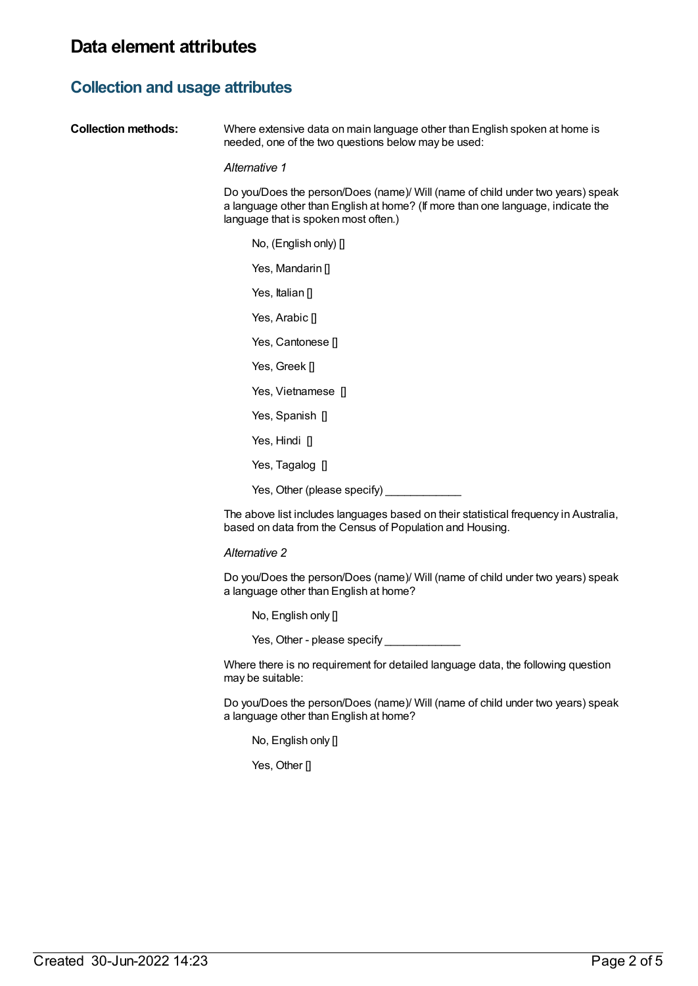# **Collection and usage attributes**

| <b>Collection methods:</b> | Where extensive data on main language other than English spoken at home is<br>needed, one of the two questions below may be used:                                                                         |
|----------------------------|-----------------------------------------------------------------------------------------------------------------------------------------------------------------------------------------------------------|
|                            | Alternative 1                                                                                                                                                                                             |
|                            | Do you/Does the person/Does (name)/ Will (name of child under two years) speak<br>a language other than English at home? (If more than one language, indicate the<br>language that is spoken most often.) |
|                            | No, (English only) [                                                                                                                                                                                      |
|                            | Yes, Mandarin []                                                                                                                                                                                          |
|                            | Yes, Italian []                                                                                                                                                                                           |
|                            | Yes, Arabic []                                                                                                                                                                                            |
|                            | Yes, Cantonese []                                                                                                                                                                                         |
|                            | Yes, Greek []                                                                                                                                                                                             |
|                            | Yes, Vietnamese []                                                                                                                                                                                        |
|                            | Yes, Spanish []                                                                                                                                                                                           |
|                            | Yes, Hindi []                                                                                                                                                                                             |
|                            | Yes, Tagalog []                                                                                                                                                                                           |
|                            | Yes, Other (please specify)                                                                                                                                                                               |
|                            | The above list includes languages based on their statistical frequency in Australia,<br>based on data from the Census of Population and Housing.                                                          |
|                            | Alternative 2                                                                                                                                                                                             |

Do you/Does the person/Does (name)/ Will (name of child under two years) speak a language other than English at home?

No, English only []

Yes, Other - please specify \_\_\_\_\_\_\_\_\_\_\_\_

Where there is no requirement for detailed language data, the following question may be suitable:

Do you/Does the person/Does (name)/ Will (name of child under two years) speak a language other than English at home?

No, English only []

Yes, Other []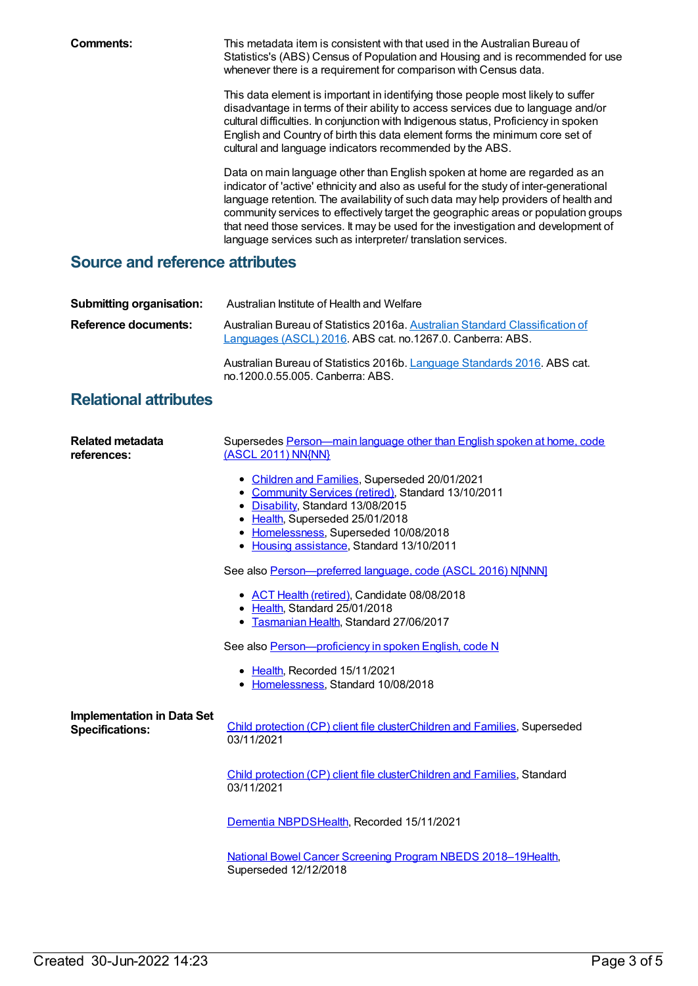**Comments:** This metadata item is consistent with that used in the Australian Bureau of Statistics's (ABS) Census of Population and Housing and is recommended for use whenever there is a requirement for comparison with Census data.

> This data element is important in identifying those people most likely to suffer disadvantage in terms of their ability to access services due to language and/or cultural difficulties. In conjunction with Indigenous status, Proficiency in spoken English and Country of birth this data element forms the minimum core set of cultural and language indicators recommended by the ABS.

Data on main language other than English spoken at home are regarded as an indicator of 'active' ethnicity and also as useful for the study of inter-generational language retention. The availability of such data may help providers of health and community services to effectively target the geographic areas or population groups that need those services. It may be used for the investigation and development of language services such as interpreter/ translation services.

# **Source and reference attributes**

| Submitting organisation:    | Australian Institute of Health and Welfare                                                                                                |
|-----------------------------|-------------------------------------------------------------------------------------------------------------------------------------------|
| <b>Reference documents:</b> | Australian Bureau of Statistics 2016a. Australian Standard Classification of<br>Languages (ASCL) 2016. ABS cat. no.1267.0. Canberra: ABS. |
|                             | Australian Bureau of Statistics 2016b. Language Standards 2016. ABS cat.<br>no.1200.0.55.005. Canberra: ABS.                              |

### **Relational attributes**

| Related metadata                                            | Supersedes Person—main language other than English spoken at home, code                                                                                                                                                                                             |
|-------------------------------------------------------------|---------------------------------------------------------------------------------------------------------------------------------------------------------------------------------------------------------------------------------------------------------------------|
| references:                                                 | (ASCL 2011) NN{NN}                                                                                                                                                                                                                                                  |
|                                                             | • Children and Families, Superseded 20/01/2021<br>• Community Services (retired), Standard 13/10/2011<br>• Disability, Standard 13/08/2015<br>• Health, Superseded 25/01/2018<br>• Homelessness, Superseded 10/08/2018<br>• Housing assistance, Standard 13/10/2011 |
|                                                             | See also Person-preferred language, code (ASCL 2016) NJNNN]                                                                                                                                                                                                         |
|                                                             | • ACT Health (retired), Candidate 08/08/2018<br>• Health, Standard 25/01/2018<br>• Tasmanian Health, Standard 27/06/2017                                                                                                                                            |
|                                                             | See also Person-proficiency in spoken English, code N                                                                                                                                                                                                               |
|                                                             | • Health, Recorded 15/11/2021<br>• Homelessness, Standard 10/08/2018                                                                                                                                                                                                |
| <b>Implementation in Data Set</b><br><b>Specifications:</b> | Child protection (CP) client file clusterChildren and Families, Superseded<br>03/11/2021                                                                                                                                                                            |
|                                                             | Child protection (CP) client file clusterChildren and Families, Standard<br>03/11/2021                                                                                                                                                                              |
|                                                             | Dementia NBPDSHealth, Recorded 15/11/2021                                                                                                                                                                                                                           |
|                                                             | National Bowel Cancer Screening Program NBEDS 2018-19Health,<br>Superseded 12/12/2018                                                                                                                                                                               |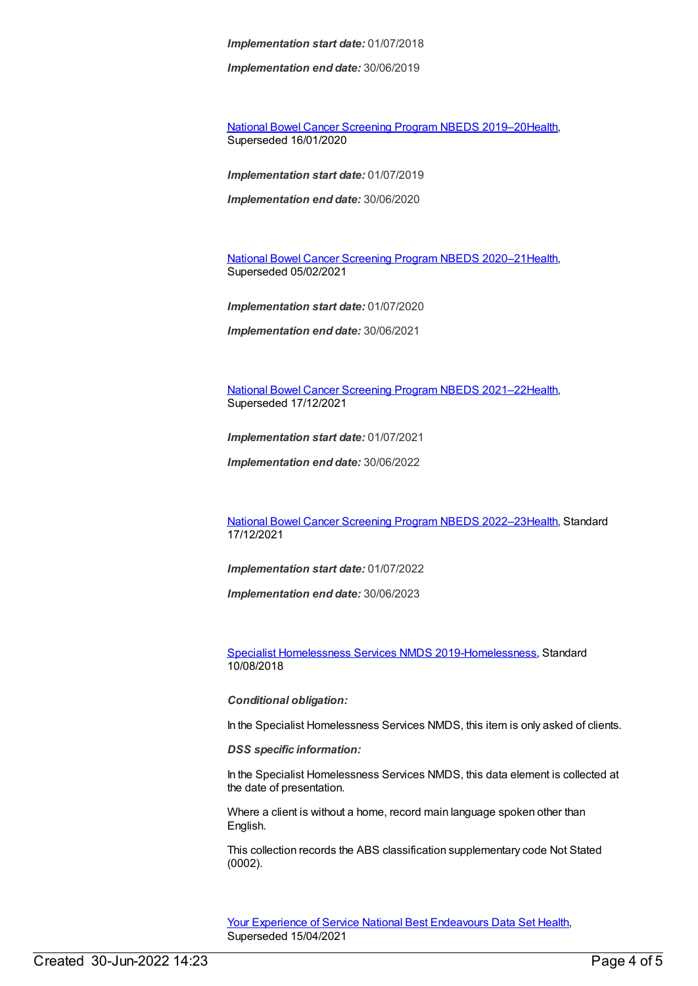*Implementation start date:* 01/07/2018

*Implementation end date:* 30/06/2019

National Bowel Cancer [Screening](https://meteor.aihw.gov.au/content/707481) Program NBEDS 2019–2[0Health](https://meteor.aihw.gov.au/RegistrationAuthority/12), Superseded 16/01/2020

*Implementation start date:* 01/07/2019

*Implementation end date:* 30/06/2020

National Bowel Cancer [Screening](https://meteor.aihw.gov.au/content/715323) Program NBEDS 2020–2[1Health](https://meteor.aihw.gov.au/RegistrationAuthority/12), Superseded 05/02/2021

*Implementation start date:* 01/07/2020

*Implementation end date:* 30/06/2021

National Bowel Cancer [Screening](https://meteor.aihw.gov.au/content/727407) Program NBEDS 2021–2[2Health](https://meteor.aihw.gov.au/RegistrationAuthority/12), Superseded 17/12/2021

*Implementation start date:* 01/07/2021

*Implementation end date:* 30/06/2022

National Bowel Cancer [Screening](https://meteor.aihw.gov.au/content/742048) Program NBEDS 2022–2[3Health](https://meteor.aihw.gov.au/RegistrationAuthority/12), Standard 17/12/2021

*Implementation start date:* 01/07/2022

*Implementation end date:* 30/06/2023

Specialist [Homelessness](https://meteor.aihw.gov.au/content/689064) Services NMDS 2019[-Homelessness](https://meteor.aihw.gov.au/RegistrationAuthority/14), Standard 10/08/2018

*Conditional obligation:*

In the Specialist Homelessness Services NMDS, this item is only asked of clients.

*DSS specific information:*

In the Specialist Homelessness Services NMDS, this data element is collected at the date of presentation.

Where a client is without a home, record main language spoken other than English.

This collection records the ABS classification supplementary code Not Stated (0002).

Your Experience of Service National Best [Endeavours](https://meteor.aihw.gov.au/content/635068) Data Set [Health](https://meteor.aihw.gov.au/RegistrationAuthority/12), Superseded 15/04/2021